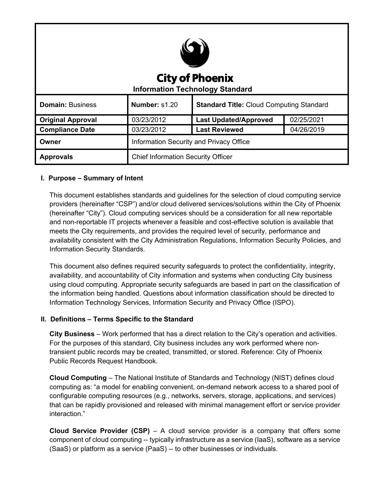| <b>City of Phoenix</b><br><b>Information Technology Standard</b> |                                           |                                                 |            |
|------------------------------------------------------------------|-------------------------------------------|-------------------------------------------------|------------|
| <b>Domain: Business</b>                                          | Number: s1.20                             | <b>Standard Title: Cloud Computing Standard</b> |            |
| <b>Original Approval</b>                                         | 03/23/2012                                | <b>Last Updated/Approved</b>                    | 02/25/2021 |
| <b>Compliance Date</b>                                           | 03/23/2012                                | <b>Last Reviewed</b>                            | 04/26/2019 |
| Owner                                                            | Information Security and Privacy Office   |                                                 |            |
| <b>Approvals</b>                                                 | <b>Chief Information Security Officer</b> |                                                 |            |

# **I. Purpose – Summary of Intent**

This document establishes standards and guidelines for the selection of cloud computing service providers (hereinafter "CSP") and/or cloud delivered services/solutions within the City of Phoenix (hereinafter "City"). Cloud computing services should be a consideration for all new reportable and non-reportable IT projects whenever a feasible and cost-effective solution is available that meets the City requirements, and provides the required level of security, performance and availability consistent with the City Administration Regulations, Information Security Policies, and Information Security Standards.

This document also defines required security safeguards to protect the confidentiality, integrity, availability, and accountability of City information and systems when conducting City business using cloud computing. Appropriate security safeguards are based in part on the classification of the information being handled. Questions about information classification should be directed to Information Technology Services, Information Security and Privacy Office (ISPO).

# **II. Definitions – Terms Specific to the Standard**

**City Business** – Work performed that has a direct relation to the City's operation and activities. For the purposes of this standard, City business includes any work performed where nontransient public records may be created, transmitted, or stored. Reference: City of Phoenix Public Records Request Handbook.

**Cloud Computing** – The National Institute of Standards and Technology (NIST) defines cloud computing as: "a model for enabling convenient, on-demand network access to a shared pool of configurable computing resources (e.g., networks, servers, storage, applications, and services) that can be rapidly provisioned and released with minimal management effort or service provider interaction."

**Cloud Service Provider (CSP)** – A cloud service provider is a company that offers some component of cloud computing -- typically infrastructure as a service (IaaS), software as a service (SaaS) or platform as a service (PaaS) -- to other businesses or individuals.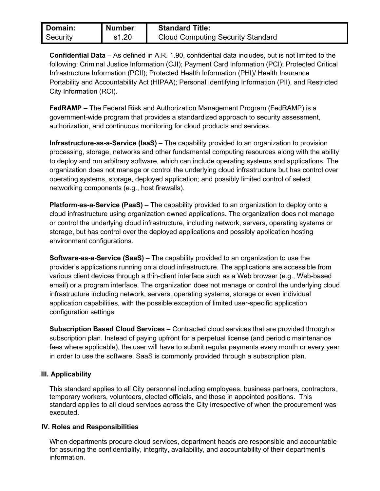| Domain:  | Number: | <b>Standard Title:</b>                   |
|----------|---------|------------------------------------------|
| Security | s1.20   | <b>Cloud Computing Security Standard</b> |

**Confidential Data** – As defined in A.R. 1.90, confidential data includes, but is not limited to the following: Criminal Justice Information (CJI); Payment Card Information (PCI); Protected Critical Infrastructure Information (PCII); Protected Health Information (PHI)/ Health Insurance Portability and Accountability Act (HIPAA); Personal Identifying Information (PII), and Restricted City Information (RCI).

**FedRAMP** – The Federal Risk and Authorization Management Program (FedRAMP) is a government-wide program that provides a standardized approach to security assessment, authorization, and continuous monitoring for cloud products and services.

**Infrastructure-as-a-Service (IaaS)** – The capability provided to an organization to provision processing, storage, networks and other fundamental computing resources along with the ability to deploy and run arbitrary software, which can include operating systems and applications. The organization does not manage or control the underlying cloud infrastructure but has control over operating systems, storage, deployed application; and possibly limited control of select networking components (e.g., host firewalls).

**Platform-as-a-Service (PaaS)** – The capability provided to an organization to deploy onto a cloud infrastructure using organization owned applications. The organization does not manage or control the underlying cloud infrastructure, including network, servers, operating systems or storage, but has control over the deployed applications and possibly application hosting environment configurations.

**Software-as-a-Service (SaaS)** – The capability provided to an organization to use the provider's applications running on a cloud infrastructure. The applications are accessible from various client devices through a thin-client interface such as a Web browser (e.g., Web-based email) or a program interface. The organization does not manage or control the underlying cloud infrastructure including network, servers, operating systems, storage or even individual application capabilities, with the possible exception of limited user-specific application configuration settings.

**Subscription Based Cloud Services** – Contracted cloud services that are provided through a subscription plan. Instead of paying upfront for a perpetual license (and periodic maintenance fees where applicable), the user will have to submit regular payments every month or every year in order to use the software. SaaS is commonly provided through a subscription plan.

### **III. Applicability**

This standard applies to all City personnel including employees, business partners, contractors, temporary workers, volunteers, elected officials, and those in appointed positions. This standard applies to all cloud services across the City irrespective of when the procurement was executed.

### **IV. Roles and Responsibilities**

When departments procure cloud services, department heads are responsible and accountable for assuring the confidentiality, integrity, availability, and accountability of their department's information.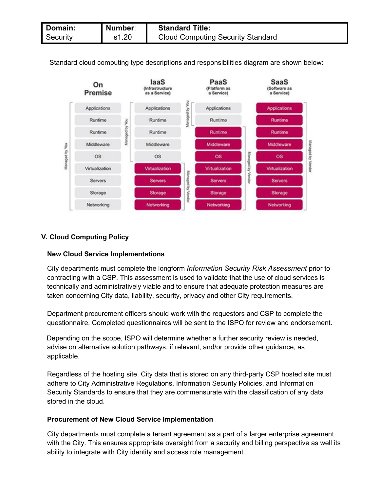| Domain:  | Number: | <b>Standard Title:</b>                   |
|----------|---------|------------------------------------------|
| Security | s1.20   | <b>Cloud Computing Security Standard</b> |

Standard cloud computing type descriptions and responsibilities diagram are shown below:



# **V. Cloud Computing Policy**

# **New Cloud Service Implementations**

City departments must complete the longform *Information Security Risk Assessment* prior to contracting with a CSP. This assessment is used to validate that the use of cloud services is technically and administratively viable and to ensure that adequate protection measures are taken concerning City data, liability, security, privacy and other City requirements.

Department procurement officers should work with the requestors and CSP to complete the questionnaire. Completed questionnaires will be sent to the ISPO for review and endorsement.

Depending on the scope, ISPO will determine whether a further security review is needed, advise on alternative solution pathways, if relevant, and/or provide other guidance, as applicable.

Regardless of the hosting site, City data that is stored on any third-party CSP hosted site must adhere to City Administrative Regulations, Information Security Policies, and Information Security Standards to ensure that they are commensurate with the classification of any data stored in the cloud.

### **Procurement of New Cloud Service Implementation**

City departments must complete a tenant agreement as a part of a larger enterprise agreement with the City. This ensures appropriate oversight from a security and billing perspective as well its ability to integrate with City identity and access role management.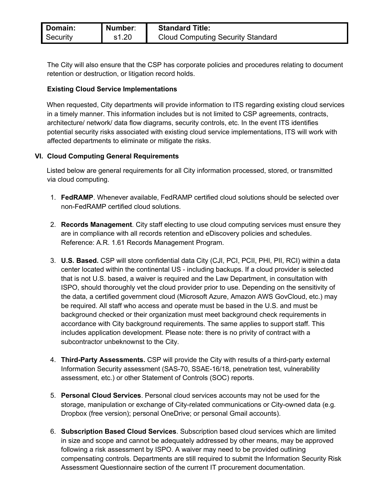| Domain:  | Number: | <b>Standard Title:</b>                   |
|----------|---------|------------------------------------------|
| Security | s1.20   | <b>Cloud Computing Security Standard</b> |

The City will also ensure that the CSP has corporate policies and procedures relating to document retention or destruction, or litigation record holds.

### **Existing Cloud Service Implementations**

When requested, City departments will provide information to ITS regarding existing cloud services in a timely manner. This information includes but is not limited to CSP agreements, contracts, architecture/ network/ data flow diagrams, security controls, etc. In the event ITS identifies potential security risks associated with existing cloud service implementations, ITS will work with affected departments to eliminate or mitigate the risks.

### **VI. Cloud Computing General Requirements**

Listed below are general requirements for all City information processed, stored, or transmitted via cloud computing.

- 1. **FedRAMP**. Whenever available, FedRAMP certified cloud solutions should be selected over non-FedRAMP certified cloud solutions.
- 2. **Records Management**. City staff electing to use cloud computing services must ensure they are in compliance with all records retention and eDiscovery policies and schedules. Reference: A.R. 1.61 Records Management Program.
- 3. **U.S. Based.** CSP will store confidential data City (CJI, PCI, PCII, PHI, PII, RCI) within a data center located within the continental US - including backups. If a cloud provider is selected that is not U.S. based, a waiver is required and the Law Department, in consultation with ISPO, should thoroughly vet the cloud provider prior to use. Depending on the sensitivity of the data, a certified government cloud (Microsoft Azure, Amazon AWS GovCloud, etc.) may be required. All staff who access and operate must be based in the U.S. and must be background checked or their organization must meet background check requirements in accordance with City background requirements. The same applies to support staff. This includes application development. Please note: there is no privity of contract with a subcontractor unbeknownst to the City.
- 4. **Third-Party Assessments.** CSP will provide the City with results of a third-party external Information Security assessment (SAS-70, SSAE-16/18, penetration test, vulnerability assessment, etc.) or other Statement of Controls (SOC) reports.
- 5. **Personal Cloud Services**. Personal cloud services accounts may not be used for the storage, manipulation or exchange of City-related communications or City-owned data (e.g. Dropbox (free version); personal OneDrive; or personal Gmail accounts).
- 6. **Subscription Based Cloud Services**. Subscription based cloud services which are limited in size and scope and cannot be adequately addressed by other means, may be approved following a risk assessment by ISPO. A waiver may need to be provided outlining compensating controls. Departments are still required to submit the Information Security Risk Assessment Questionnaire section of the current IT procurement documentation.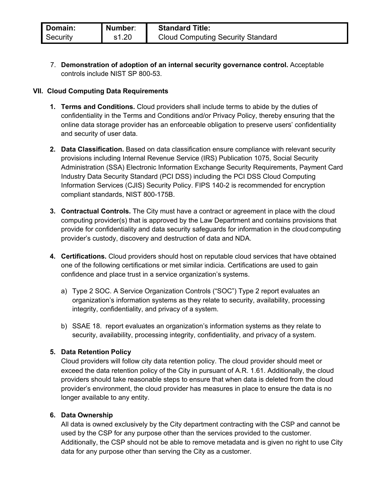| Domain:  | Number: | <b>Standard Title:</b>                   |
|----------|---------|------------------------------------------|
| Security | s1.20   | <b>Cloud Computing Security Standard</b> |

7. **Demonstration of adoption of an internal security governance control.** Acceptable controls include NIST SP 800-53.

### **VII. Cloud Computing Data Requirements**

- **1. Terms and Conditions.** Cloud providers shall include terms to abide by the duties of confidentiality in the Terms and Conditions and/or Privacy Policy, thereby ensuring that the online data storage provider has an enforceable obligation to preserve users' confidentiality and security of user data.
- **2. Data Classification.** Based on data classification ensure compliance with relevant security provisions including Internal Revenue Service (IRS) Publication 1075, Social Security Administration (SSA) Electronic Information Exchange Security Requirements, Payment Card Industry Data Security Standard (PCI DSS) including the PCI DSS Cloud Computing Information Services (CJIS) Security Policy. FIPS 140-2 is recommended for encryption compliant standards, NIST 800-175B.
- **3. Contractual Controls.** The City must have a contract or agreement in place with the cloud computing provider(s) that is approved by the Law Department and contains provisions that provide for confidentiality and data security safeguards for information in the cloud computing provider's custody, discovery and destruction of data and NDA.
- **4. Certifications.** Cloud providers should host on reputable cloud services that have obtained one of the following certifications or met similar indicia. Certifications are used to gain confidence and place trust in a service organization's systems.
	- a) Type 2 SOC. A Service Organization Controls ("SOC") Type 2 report evaluates an organization's information systems as they relate to security, availability, processing integrity, confidentiality, and privacy of a system.
	- b) SSAE 18. report evaluates an organization's information systems as they relate to security, availability, processing integrity, confidentiality, and privacy of a system.

# **5. Data Retention Policy**

Cloud providers will follow city data retention policy. The cloud provider should meet or exceed the data retention policy of the City in pursuant of A.R. 1.61. Additionally, the cloud providers should take reasonable steps to ensure that when data is deleted from the cloud provider's environment, the cloud provider has measures in place to ensure the data is no longer available to any entity.

### **6. Data Ownership**

All data is owned exclusively by the City department contracting with the CSP and cannot be used by the CSP for any purpose other than the services provided to the customer. Additionally, the CSP should not be able to remove metadata and is given no right to use City data for any purpose other than serving the City as a customer.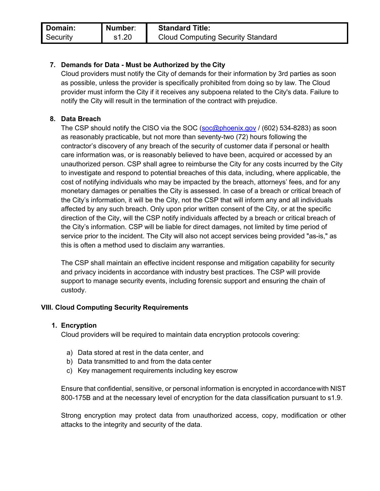| Domain:  | Number: | <b>Standard Title:</b>                   |
|----------|---------|------------------------------------------|
| Security | s1.20   | <b>Cloud Computing Security Standard</b> |

# **7. Demands for Data - Must be Authorized by the City**

Cloud providers must notify the City of demands for their information by 3rd parties as soon as possible, unless the provider is specifically prohibited from doing so by law. The Cloud provider must inform the City if it receives any subpoena related to the City's data. Failure to notify the City will result in the termination of the contract with prejudice.

### **8. Data Breach**

The CSP should notify the CISO via the SOC (soc@phoenix.gov / (602) 534-8283) as soon as reasonably practicable, but not more than seventy-two (72) hours following the contractor's discovery of any breach of the security of customer data if personal or health care information was, or is reasonably believed to have been, acquired or accessed by an unauthorized person. CSP shall agree to reimburse the City for any costs incurred by the City to investigate and respond to potential breaches of this data, including, where applicable, the cost of notifying individuals who may be impacted by the breach, attorneys' fees, and for any monetary damages or penalties the City is assessed. In case of a breach or critical breach of the City's information, it will be the City, not the CSP that will inform any and all individuals affected by any such breach. Only upon prior written consent of the City, or at the specific direction of the City, will the CSP notify individuals affected by a breach or critical breach of the City's information. CSP will be liable for direct damages, not limited by time period of service prior to the incident. The City will also not accept services being provided "as-is," as this is often a method used to disclaim any warranties.

The CSP shall maintain an effective incident response and mitigation capability for security and privacy incidents in accordance with industry best practices. The CSP will provide support to manage security events, including forensic support and ensuring the chain of custody.

### **VIII. Cloud Computing Security Requirements**

### **1. Encryption**

Cloud providers will be required to maintain data encryption protocols covering:

- a) Data stored at rest in the data center, and
- b) Data transmitted to and from the data center
- c) Key management requirements including key escrow

Ensure that confidential, sensitive, or personal information is encrypted in accordancewith NIST 800-175B and at the necessary level of encryption for the data classification pursuant to s1.9.

Strong encryption may protect data from unauthorized access, copy, modification or other attacks to the integrity and security of the data.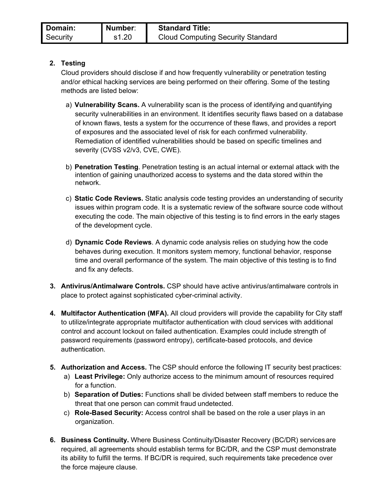# **2. Testing**

Cloud providers should disclose if and how frequently vulnerability or penetration testing and/or ethical hacking services are being performed on their offering. Some of the testing methods are listed below:

- a) **Vulnerability Scans.** A vulnerability scan is the process of identifying and quantifying security vulnerabilities in an environment. It identifies security flaws based on a database of known flaws, tests a system for the occurrence of these flaws, and provides a report of exposures and the associated level of risk for each confirmed vulnerability. Remediation of identified vulnerabilities should be based on specific timelines and severity (CVSS v2/v3, CVE, CWE).
- b) **Penetration Testing**. Penetration testing is an actual internal or external attack with the intention of gaining unauthorized access to systems and the data stored within the network.
- c) **Static Code Reviews.** Static analysis code testing provides an understanding of security issues within program code. It is a systematic review of the software source code without executing the code. The main objective of this testing is to find errors in the early stages of the development cycle.
- d) **Dynamic Code Reviews**. A dynamic code analysis relies on studying how the code behaves during execution. It monitors system memory, functional behavior, response time and overall performance of the system. The main objective of this testing is to find and fix any defects.
- **3. Antivirus/Antimalware Controls.** CSP should have active antivirus/antimalware controls in place to protect against sophisticated cyber-criminal activity.
- **4. Multifactor Authentication (MFA).** All cloud providers will provide the capability for City staff to utilize/integrate appropriate multifactor authentication with cloud services with additional control and account lockout on failed authentication. Examples could include strength of password requirements (password entropy), certificate-based protocols, and device authentication.
- **5. Authorization and Access.** The CSP should enforce the following IT security best practices:
	- a) **Least Privilege:** Only authorize access to the minimum amount of resources required for a function.
	- b) **Separation of Duties:** Functions shall be divided between staff members to reduce the threat that one person can commit fraud undetected.
	- c) **Role-Based Security:** Access control shall be based on the role a user plays in an organization.
- **6. Business Continuity.** Where Business Continuity/Disaster Recovery (BC/DR) servicesare required, all agreements should establish terms for BC/DR, and the CSP must demonstrate its ability to fulfill the terms. If BC/DR is required, such requirements take precedence over the force majeure clause.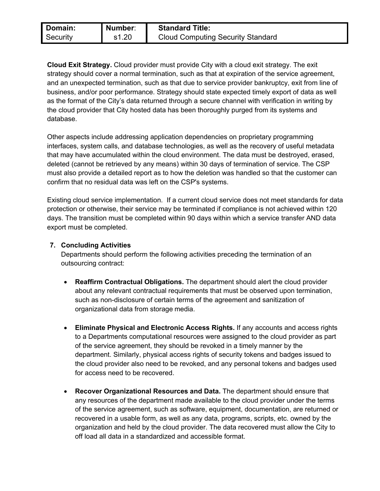| Domain:  | Number: | <b>Standard Title:</b>                   |
|----------|---------|------------------------------------------|
| Security | s1.20   | <b>Cloud Computing Security Standard</b> |

**Cloud Exit Strategy.** Cloud provider must provide City with a cloud exit strategy. The exit strategy should cover a normal termination, such as that at expiration of the service agreement, and an unexpected termination, such as that due to service provider bankruptcy, exit from line of business, and/or poor performance. Strategy should state expected timely export of data as well as the format of the City's data returned through a secure channel with verification in writing by the cloud provider that City hosted data has been thoroughly purged from its systems and database.

Other aspects include addressing application dependencies on proprietary programming interfaces, system calls, and database technologies, as well as the recovery of useful metadata that may have accumulated within the cloud environment. The data must be destroyed, erased, deleted (cannot be retrieved by any means) within 30 days of termination of service. The CSP must also provide a detailed report as to how the deletion was handled so that the customer can confirm that no residual data was left on the CSP's systems.

Existing cloud service implementation. If a current cloud service does not meet standards for data protection or otherwise, their service may be terminated if compliance is not achieved within 120 days. The transition must be completed within 90 days within which a service transfer AND data export must be completed.

# **7. Concluding Activities**

Departments should perform the following activities preceding the termination of an outsourcing contract:

- **Reaffirm Contractual Obligations.** The department should alert the cloud provider about any relevant contractual requirements that must be observed upon termination, such as non-disclosure of certain terms of the agreement and sanitization of organizational data from storage media.
- **Eliminate Physical and Electronic Access Rights.** If any accounts and access rights to a Departments computational resources were assigned to the cloud provider as part of the service agreement, they should be revoked in a timely manner by the department. Similarly, physical access rights of security tokens and badges issued to the cloud provider also need to be revoked, and any personal tokens and badges used for access need to be recovered.
- **Recover Organizational Resources and Data.** The department should ensure that any resources of the department made available to the cloud provider under the terms of the service agreement, such as software, equipment, documentation, are returned or recovered in a usable form, as well as any data, programs, scripts, etc. owned by the organization and held by the cloud provider. The data recovered must allow the City to off load all data in a standardized and accessible format.